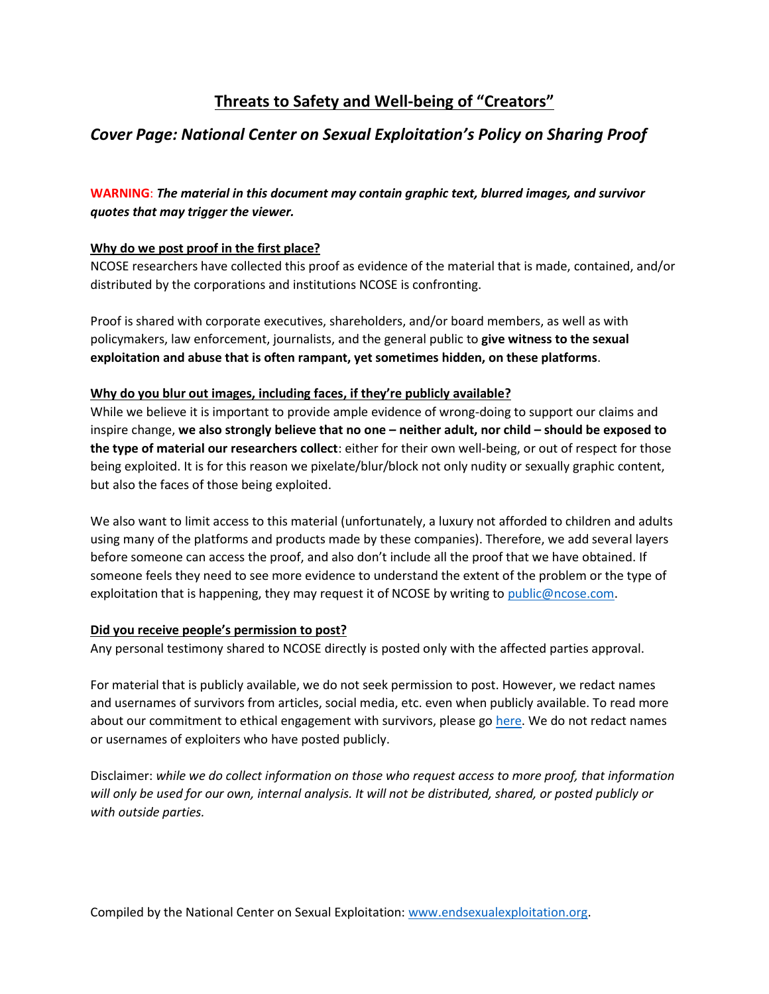# **Threats to Safety and Well-being of "Creators"**

# *Cover Page: National Center on Sexual Exploitation's Policy on Sharing Proof*

## **WARNING**: *The material in this document may contain graphic text, blurred images, and survivor quotes that may trigger the viewer.*

### **Why do we post proof in the first place?**

NCOSE researchers have collected this proof as evidence of the material that is made, contained, and/or distributed by the corporations and institutions NCOSE is confronting.

Proof is shared with corporate executives, shareholders, and/or board members, as well as with policymakers, law enforcement, journalists, and the general public to **give witness to the sexual exploitation and abuse that is often rampant, yet sometimes hidden, on these platforms**.

#### **Why do you blur out images, including faces, if they're publicly available?**

While we believe it is important to provide ample evidence of wrong-doing to support our claims and inspire change, **we also strongly believe that no one – neither adult, nor child – should be exposed to the type of material our researchers collect**: either for their own well-being, or out of respect for those being exploited. It is for this reason we pixelate/blur/block not only nudity or sexually graphic content, but also the faces of those being exploited.

We also want to limit access to this material (unfortunately, a luxury not afforded to children and adults using many of the platforms and products made by these companies). Therefore, we add several layers before someone can access the proof, and also don't include all the proof that we have obtained. If someone feels they need to see more evidence to understand the extent of the problem or the type of exploitation that is happening, they may request it of NCOSE by writing to [public@ncose.com.](mailto:public@ncose.com)

#### **Did you receive people's permission to post?**

Any personal testimony shared to NCOSE directly is posted only with the affected parties approval.

For material that is publicly available, we do not seek permission to post. However, we redact names and usernames of survivors from articles, social media, etc. even when publicly available. To read more about our commitment to ethical engagement with survivors, please g[o here.](https://endsexualexploitation.org/walking-alongside-survivors/) We do not redact names or usernames of exploiters who have posted publicly.

Disclaimer: *while we do collect information on those who request access to more proof, that information will only be used for our own, internal analysis. It will not be distributed, shared, or posted publicly or with outside parties.*

Compiled by the National Center on Sexual Exploitation: [www.endsexualexploitation.org.](http://www.endsexualexploitation.org/)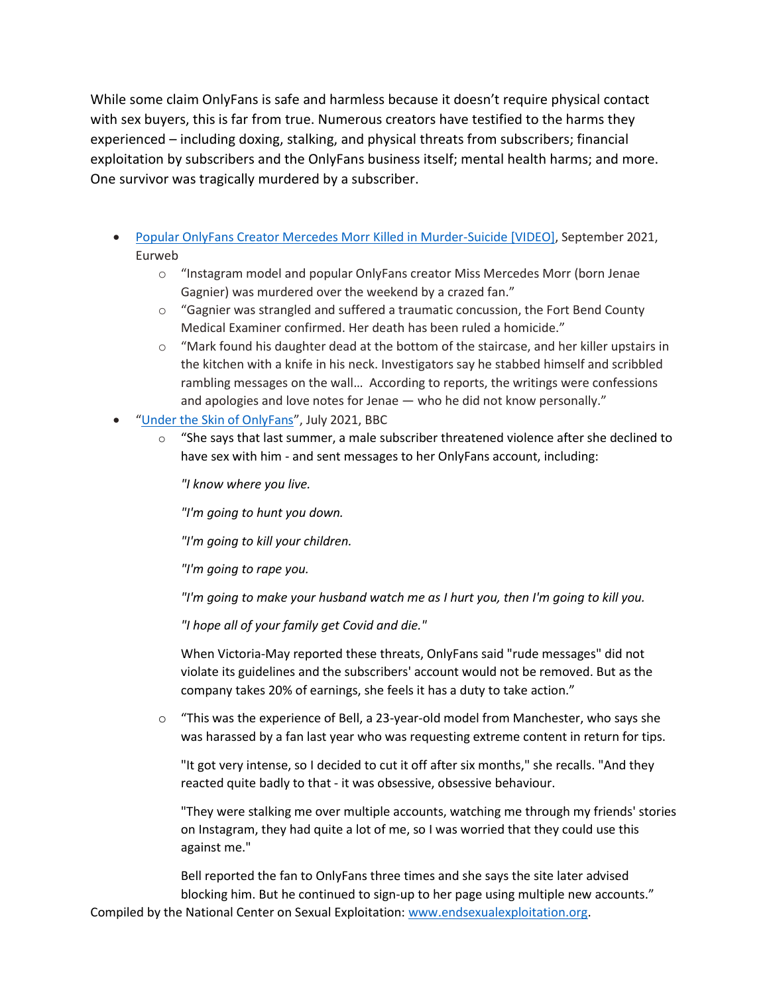While some claim OnlyFans is safe and harmless because it doesn't require physical contact with sex buyers, this is far from true. Numerous creators have testified to the harms they experienced – including doxing, stalking, and physical threats from subscribers; financial exploitation by subscribers and the OnlyFans business itself; mental health harms; and more. One survivor was tragically murdered by a subscriber.

- [Popular OnlyFans Creator Mercedes Morr Killed in Murder-Suicide \[VIDEO\],](https://eurweb.com/2021/09/01/popular-onlyfans-creator-mercedes-morr-killed-in-murder-suicide-video/) September 2021, Eurweb
	- o "Instagram model and popular OnlyFans creator Miss Mercedes Morr (born Jenae Gagnier) was murdered over the weekend by a crazed fan."
	- $\circ$  "Gagnier was strangled and suffered a traumatic concussion, the Fort Bend County Medical Examiner confirmed. Her death has been ruled a homicide."
	- $\circ$  "Mark found his daughter dead at the bottom of the staircase, and her killer upstairs in the kitchen with a knife in his neck. Investigators say he stabbed himself and scribbled rambling messages on the wall… According to reports, the writings were confessions and apologies and love notes for Jenae — who he did not know personally."
- "[Under the Skin of OnlyFans](https://www.bbc.com/news/uk-57269939)", July 2021, BBC
	- $\circ$  "She says that last summer, a male subscriber threatened violence after she declined to have sex with him - and sent messages to her OnlyFans account, including:

*"I know where you live.*

*"I'm going to hunt you down.*

*"I'm going to kill your children.*

*"I'm going to rape you.*

*"I'm going to make your husband watch me as I hurt you, then I'm going to kill you.*

*"I hope all of your family get Covid and die."*

When Victoria-May reported these threats, OnlyFans said "rude messages" did not violate its guidelines and the subscribers' account would not be removed. But as the company takes 20% of earnings, she feels it has a duty to take action."

 $\circ$  "This was the experience of Bell, a 23-year-old model from Manchester, who says she was harassed by a fan last year who was requesting extreme content in return for tips.

"It got very intense, so I decided to cut it off after six months," she recalls. "And they reacted quite badly to that - it was obsessive, obsessive behaviour.

"They were stalking me over multiple accounts, watching me through my friends' stories on Instagram, they had quite a lot of me, so I was worried that they could use this against me."

Compiled by the National Center on Sexual Exploitation: [www.endsexualexploitation.org.](http://www.endsexualexploitation.org/) Bell reported the fan to OnlyFans three times and she says the site later advised blocking him. But he continued to sign-up to her page using multiple new accounts."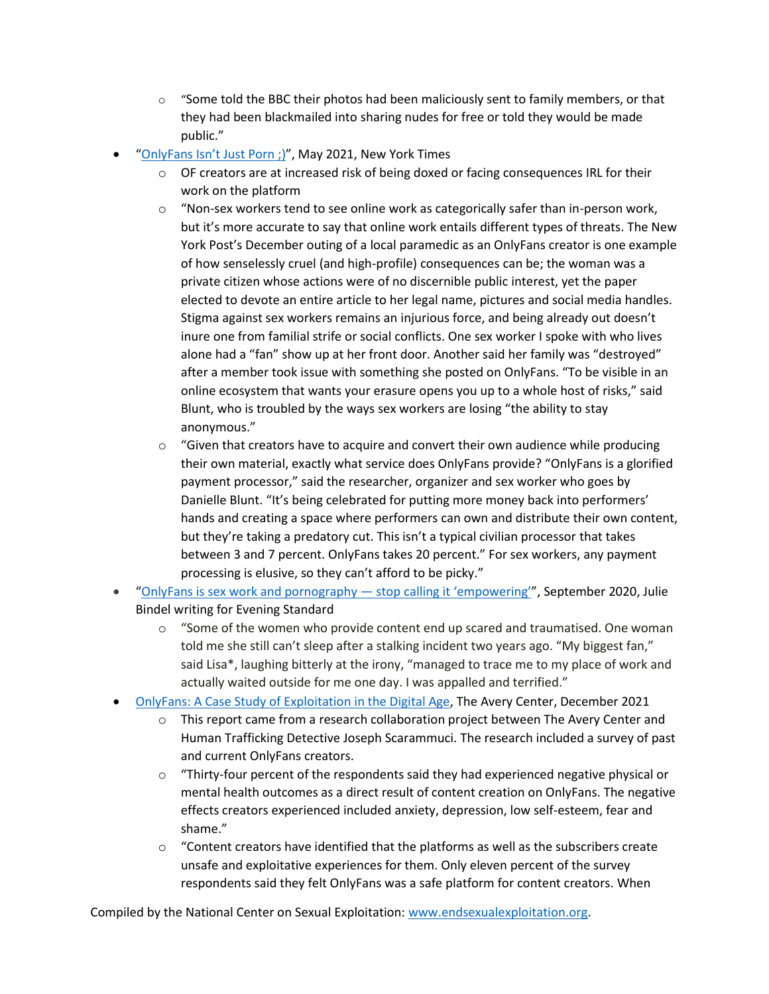- $\circ$  "Some told the BBC their photos had been maliciously sent to family members, or that they had been blackmailed into sharing nudes for free or told they would be made public."
- ["OnlyFans Isn't Just Porn ;\)"](https://www.nytimes.com/2021/05/18/magazine/onlyfans-porn.html), May 2021, New York Times
	- $\circ$  OF creators are at increased risk of being doxed or facing consequences IRL for their work on the platform
	- $\circ$  "Non-sex workers tend to see online work as categorically safer than in-person work, but it's more accurate to say that online work entails different types of threats. The New York Post's December outing of a local paramedic as an OnlyFans creator is one example of how senselessly cruel (and high-profile) consequences can be; the woman was a private citizen whose actions were of no discernible public interest, yet the paper elected to devote an entire article to her legal name, pictures and social media handles. Stigma against sex workers remains an injurious force, and being already out doesn't inure one from familial strife or social conflicts. One sex worker I spoke with who lives alone had a "fan" show up at her front door. Another said her family was "destroyed" after a member took issue with something she posted on OnlyFans. "To be visible in an online ecosystem that wants your erasure opens you up to a whole host of risks," said Blunt, who is troubled by the ways sex workers are losing "the ability to stay anonymous."
	- $\circ$  "Given that creators have to acquire and convert their own audience while producing their own material, exactly what service does OnlyFans provide? "OnlyFans is a glorified payment processor," said the researcher, organizer and sex worker who goes by Danielle Blunt. "It's being celebrated for putting more money back into performers' hands and creating a space where performers can own and distribute their own content, but they're taking a predatory cut. This isn't a typical civilian processor that takes between 3 and 7 percent. OnlyFans takes 20 percent." For sex workers, any payment processing is elusive, so they can't afford to be picky."
- "[OnlyFans is sex work and pornography](https://www.standard.co.uk/comment/comment/onlyfans-sex-work-pornography-empowering-bella-thorne-a4545501.html)  stop calling it 'empowering'", September 2020, Julie Bindel writing for Evening Standard
	- o "Some of the women who provide content end up scared and traumatised. One woman told me she still can't sleep after a stalking incident two years ago. "My biggest fan," said Lisa\*, laughing bitterly at the irony, "managed to trace me to my place of work and actually waited outside for me one day. I was appalled and terrified."
- [OnlyFans: A Case Study of Exploitation in the Digital Age,](https://theaverycenter.org/research/onlyfans/) The Avery Center, December 2021
	- $\circ$  This report came from a research collaboration project between The Avery Center and Human Trafficking Detective Joseph Scarammuci. The research included a survey of past and current OnlyFans creators.
	- $\circ$  "Thirty-four percent of the respondents said they had experienced negative physical or mental health outcomes as a direct result of content creation on OnlyFans. The negative effects creators experienced included anxiety, depression, low self-esteem, fear and shame."
	- $\circ$  "Content creators have identified that the platforms as well as the subscribers create unsafe and exploitative experiences for them. Only eleven percent of the survey respondents said they felt OnlyFans was a safe platform for content creators. When

Compiled by the National Center on Sexual Exploitation: [www.endsexualexploitation.org.](http://www.endsexualexploitation.org/)